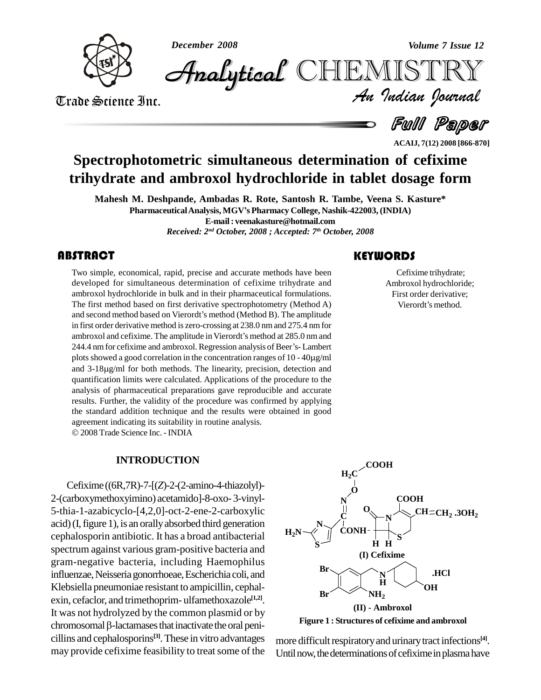

*December 2008 Volume 7 Issue 12*

*Volume 7 Issue 12*<br>IISTRY<br>*Indian hournal*  $\cal{H}$ nalytical  $\mathbb{CHEMISTR}$ 

Trade Science Inc. Trade Science Inc.

Full Paper

**ACAIJ, 7(12) 2008 [866-870]**

# **Spectrophotometric simultaneous determination of cefixime trihydrate and ambroxol hydrochloride in tablet dosage form**

**Mahesh M. Deshpande, Ambadas R. Rote, Santosh R. Tambe, Veena S. Kasture\* PharmaceuticalAnalysis, MGVí<sup>s</sup> Pharmacy College, Nashik-422003, (INDIA) E-mail: [veenakasture@hotmail.com](mailto:veenakasture@hotmail.com)** *Received: 2 nd October, 2008 ; Accepted: 7 th October, 2008*

Two simple, economical,<br>developed for simultane<br>ambroxol hydrochloride i Two simple, economical, rapid, precise and accurate methods have been developed for simultaneous determination of cefixime trihydrate and ambroxol hydrochloride in bulk and in their pharmaceutical formulations. The first method based on first derivative spectrophotometry (Method A) ambroxol hydrochloride in bulk and in their pharmaceutical formulations.<br>The first method based on first derivative spectrophotometry (Method A)<br>and second method based on Vierordt's method (Method B). The amplitude in first order derivative method iszero-crossing at 238.0 nmand 275.4 nmfor and second method based on Vierordt's method (Method B). The amplitude<br>in first order derivative method is zero-crossing at 238.0 nm and 275.4 nm for<br>ambroxol and cefixime. The amplitude in Vierordt's method at 285.0 nm an in first order derivative method is zero-crossing at 238.0 nm and 275.4 nm for<br>ambroxol and cefixime. The amplitude in Vierordt's method at 285.0 nm and<br>244.4 nm for cefixime and ambroxol. Regression analysis of Beer's- La ambroxol and cefixime. The amplitude in Vierordt's method at 285.0 nm and 244.4 nm for cefixime and ambroxol. Regression analysis of Beer's-Lambert plots showed a good correlation in the concentration ranges of 10 - 40 $\mu$ and 3-18µg/ml for both methods. The linearity, precision, detection and quantification limits were calculated. Applications of the procedure to the analysis of pharmaceutical preparations gave reproducible and accurate results. Further, the validity of the procedure was confirmed by applying the standard addition technique and the results were obtained in good agreement indicating its suitability in routine analysis. 2008Trade Science Inc. -INDIA

#### **INTRODUCTION**

Cefixime ((6R,7R)-7-[(*Z*)-2-(2-amino-4-thiazolyl)- 2-(carboxymethoxyimino) acetamido]-8-oxo- 3-vinyl- 5-thia-1-azabicyclo-[4,2,0]-oct-2-ene-2-carboxylic acid)(I,figure 1), is an orallyabsorbed third generation cephalosporin antibiotic. It has a broad antibacterial spectrum against various gram-positive bacteria and gram-negative bacteria, including Haemophilus influenzae,Neisseriagonorrhoeae,Escherichia coli, and Klebsiella pneumoniae resistant to ampicillin, cephal exin, cefaclor, and trimethoprim- ulfamethoxazole **[1,2]**. It was not hydrolyzed by the common plasmid or by exin, cefaclor, and trimethoprim- ulfamethoxazole<sup>[1,2]</sup>.<br>It was not hydrolyzed by the common plasmid or by<br>chromosomal β-lactamases that inactivate the oral penicillins and cephalosporins **[3]**.These in vitro advantages may provide cefixime feasibility to treat some of the

### **KEYWORDS**

Cefixime trihydr<br>Ambroxol hydroch<br>First order deriva Cefixime trihydrate; Ambroxol hydrochloride;<br>First order derivative;<br>Vierordt's method. First order derivative;



**Figure 1 : Structures of cefixime and ambroxol**

more difficult respiratory and urinary tract infections<sup>[4]</sup>. Until now, the determinations of cefixime in plasma have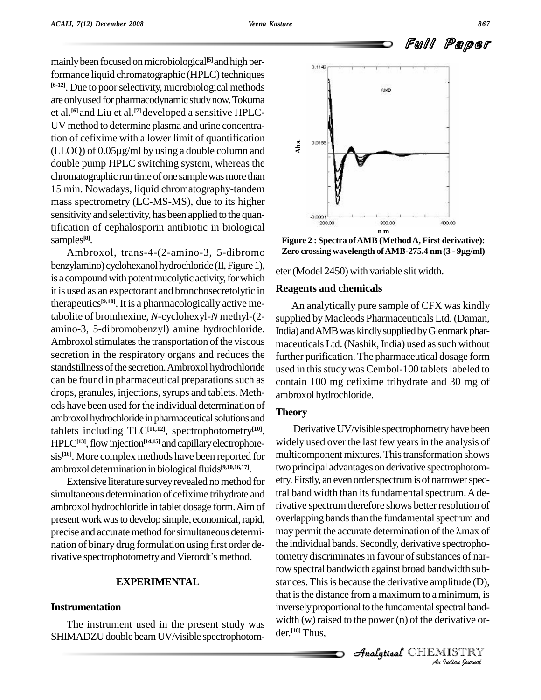mainlybeen focused onmicrobiological **[5]**andhigh performance liquid chromatographic (HPLC) techniques **[6-12]**. Due to poorselectivity, microbiological methods are only used for pharmacodynamic study now. Tokuma et al. **[6]** and Liu et al. **[7]**developed a sensitive HPLC- UV method to determine plasma and urine concentration of cefixime with a lower limit of quantification  $\ddot{\phantom{a}}$ UV method to determine plasma and urine concentra-<br>tion of cefixime with a lower limit of quantification<br>(LLOQ) of 0.05µg/ml by using a double column and double pump HPLC switching system, whereas the chromatographic run time of one sample was more than 15 min. Nowadays, liquid chromatography-tandem mass spectrometry (LC-MS-MS), due to its higher sensitivity and selectivity, has been applied to the quantification of cephalosporin antibiotic in biological samples **[8]**.

Ambroxol, trans-4-(2-amino-3, 5-dibromo benzylamino) cyclohexanol hydrochloride (II, Figure 1), is a compound with potent mucolytic activity, for which it is used as an expectorant and bronchosecretolytic in therapeutics **[9,10]**. It is a pharmacologically active metabolite of bromhexine, *N*-cyclohexyl-*N* methyl-(2 amino-3, 5-dibromobenzyl) amine hydrochloride. Ambroxol stimulates the transportation of the viscous secretion in the respiratory organs and reduces the standstillness of the secretion. Ambroxol hydrochloride can be found in pharmaceutical preparations such as drops, granules, injections, syrups and tablets. Methods have been used forthe individual determination of ambroxol hydrochloride in pharmaceutical solutions and tablets including TLC**[11,12]**, spectrophotometry **[10]**, HPLC<sup>[13]</sup>, flow injection<sup>[14,15]</sup> and capillary electrophore- wid sis<sup>[16]</sup>. More complex methods have been reported for mul ambroxol determination in biological fluids<sup>[9,10,16,17]</sup>.

Extensive literature survey revealed no method for simultaneous determination of cefixime trihydrate and ambroxol hydrochloride in tablet dosage form.Aimof present work was to develop simple, economical, rapid, precise and accurate method for simultaneous determi- may permit the accurate determination of the  $\lambda$ max of nation of binary drug formulation using firstorder deprecise and accurate method for simultaneous determination of binary drug formulation using first order de-<br>rivative spectrophotometry and Vierordt's method.

### **EXPERIMENTAL**

#### **Instrumentation**

The instrument used in the present study was SHIMADZU double beam UV/visible spectrophotom-



**Figure 2 : Spectra ofAMB (MethodA, First derivative): Zero crossing wavelength ofAMB-275.4 nm(3 - <sup>9</sup>g/ml)**

eter (Model 2450) with variable slit width.

#### **Reagents and chemicals**

An analytically pure sample of CFX was kindly supplied by Macleods Pharmaceuticals Ltd. (Daman, India) and AMB was kindly supplied by Glenmark pharmaceuticals Ltd. (Nashik, India) used as such without further purification. The pharmaceutical dosage form used in this study was Cembol-100 tablets labeled to contain 100 mg cefixime trihydrate and 30 mg of ambroxol hydrochloride.

#### **Theory**

 $A$  and  $B$  are distance from a maximum to a minimum, is *In*<br> *Indian*<br> *IISTRY*<br> *IISTRY*<br> *IISTRY* Derivative UV/visible spectrophometry have been widely used over the last few years in the analysis of multicomponent mixtures. This transformation shows two principal advantages on derivative spectrophotometry. Firstly, an even order spectrum is of narrower spectral band width than its fundamental spectrum. A derivative spectrum therefore shows better resolution of<br>overlapping bands than the fundamental spectrum and<br>may permit the accurate determination of the λmax of overlapping bands than the fundamental spectrum and the individual bands. Secondly, derivative spectrophotometry discriminates in favour of substances of narrow spectral bandwidth against broad bandwidth sub stances. This is because the derivative amplitude (D), inversely proportional to the fundamental spectral bandwidth  $(w)$  raised to the power  $(n)$  of the derivative order. **[18]** Thus,

CHEMISTRY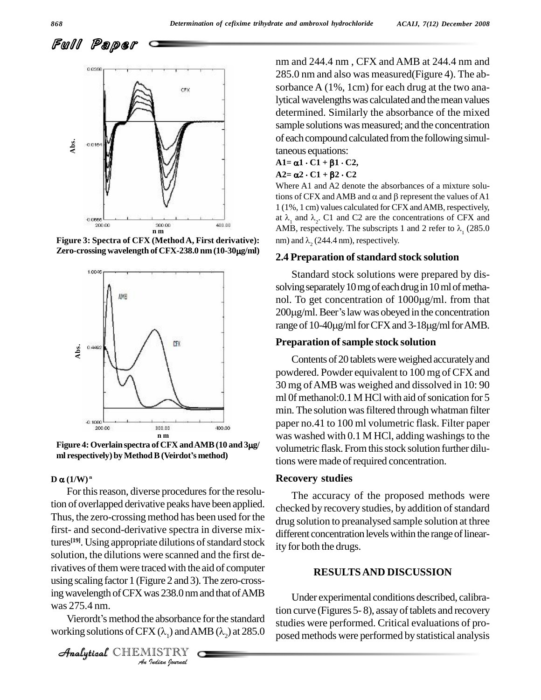Full Paper



**Figure 3: Spectra of CFX** (**Method A, First derivative**):  $\qquad \text{nm}$ ) and  $\lambda$ , (244.4 nm), respectively. **Exerois 200 and 10.00**<br>**Figure 3: Spectra of CFX (Method A, First derivative):**<br>**Zero-crossing wavelength of CFX-238.0 nm (10-30µg/ml)** 



**r m**<br> **Figure 4: Overlain spectra of CFX and AMB (10 and 3<sub>)</sub><br>
<b>ml** respectively) by Method B (Veirdot's method)

## ml respectively<br> $\mathbf{D} \ \boldsymbol{\alpha} \, (\mathbf{1}/\mathbf{W})^{\text{n}}$  $D \alpha (1/W)^n$

*Analyticalistically and the absorbance forthe standard* Under<br>was 275.4 nm. Vierordt's method the absorbance for the standard studies we *Indian*<br>*Indian Indian*<br>*I* ( $\lambda$ <sub>1</sub>) and Al<br>IISTRY For this reason, diverse procedures for the resolution of overlapped derivative peaks have been applied. Thus, the zero-crossing method has been used for the first- and second-derivative spectra in diverse mixtures<sup>[19]</sup>. Using appropriate dilutions of standard stock  $\frac{1}{1!}$ solution, the dilutions were scanned and the first derivatives of them were traced with the aid of computer using scaling factor 1 (Figure 2 and 3).The zero-crosswas 275.4 nm.

Vierordt's method the absorbance for the standard<br>working solutions of CFX  $(\lambda_1)$  and AMB  $(\lambda_2)$  at 285.0

CHEMISTRY

nm and 244.4 nm , CFX andAMB at 244.4 nm and 285.0 nm and also was measured(Figure 4). The ab sorbance A (1%, 1cm) for each drug at the two analytical wavelengths was calculated and the mean values determined. Similarly the absorbance of the mixed sample solutions was measured; and the concentration of each compound calculated from the following simultaneous equations:

#### $A1 = \alpha 1 \cdot C1 + \beta 1 \cdot C2$ ,  $A2 = \alpha 2 \cdot C1 + \beta 2 \cdot C2$

Where A1 and A2 denote the absorbances of a mixture solu- $A2 = \alpha 2 \cdot C1 + \beta 2 \cdot C2$ <br>Where A1 and A2 denote the absorbances of a mixture solu-<br>tions of CFX and AMB and  $\alpha$  and  $\beta$  represent the values of A1 1 (1%, 1 cm) values calculated for CFX andAMB, respectively, tions of CFX and AMB and  $\alpha$  and  $\beta$  represent the values of A1<br>1 (1%, 1 cm) values calculated for CFX and AMB, respectively,<br>at  $\lambda_1$  and  $\lambda_2$ . C1 and C2 are the concentrations of CFX and 1 (1%, 1 cm) values calculated for CFX and AMB, respectively, at  $\lambda_1$  and  $\lambda_2$ . C1 and C2 are the concentrations of CFX and AMB, respectively. The subscripts 1 and 2 refer to  $\lambda_1$  (285.0) AMB, respectively. The subscripts 1 and 2 refer to  $\lambda$ <sub>1</sub> (285.0)

#### **2.4 Preparation ofstandard stock solution**

Standard stock solutions were prepared by dis solving separately 10 mg of each drug in 10 ml of metha-Standard stock solutions were prepared by dissolving separately 10 mg of each drug in 10 ml of methanol. To get concentration of  $1000 \mu g/ml$ . from that solving separately 10 mg of each drug in 10 ml of methanol. To get concentration of 1000 $\mu$ g/ml. from that 200 $\mu$ g/ml. Beer's law was obeyed in the concentration nol. To get concentration of 1000µg/ml. from that<br>200µg/ml. Beer's law was obeyed in the concentration<br>range of 10-40µg/ml for CFX and 3-18µg/ml for AMB.

#### **Preparation ofsample stock solution**

Contents of 20 tablets were weighed accurately and powdered. Powder equivalent to 100 mg of CFX and 30 mg ofAMB was weighed and dissolved in 10: 90 ml 0f methanol: 0.1 M HCl with aid of sonication for 5 min. The solution wasfiltered through whatman filter paper no.41 to 100 ml volumetric flask. Filter paper was washed with  $0.1$  M HCl, adding washings to the volumetric flask. From this stock solution further dilutions were made of required concentration.

#### **Recovery studies**

The accuracy of the proposed methods were checked by recovery studies, by addition of standard drug solution to preanalysed sample solution at three different concentration levels within the range of linearity for both the drugs.

#### **RESULTSAND DISCUSSION**

Under experimental conditions described, calibration curve (Figures 5-8), assay of tablets and recovery studies were performed. Critical evaluations of pro posed methods were performed by statistical analysis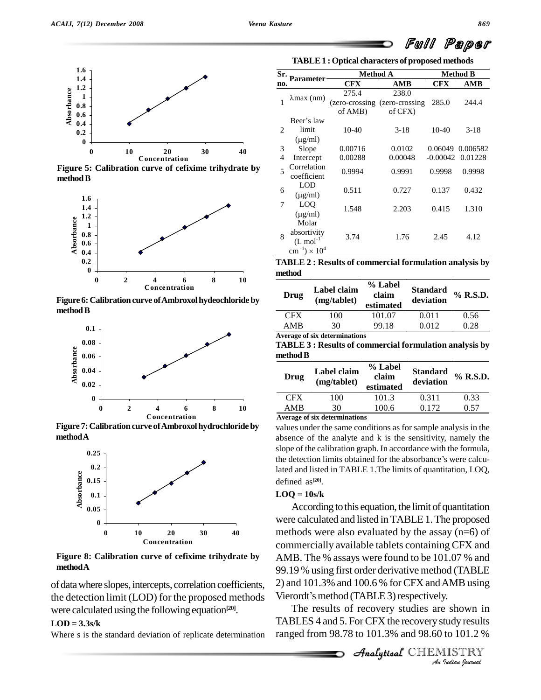

**Figure 5: Calibration curve of cefixime trihydrate by** method **B** 



Figure 6: Calibration curve of Ambroxol hydeochloride by method **B** 



**Figure 7:Calibration curve ofAmbroxolhydrochlorideby methodA**



**Figure 8: Calibration curve of cefixime trihydrate by methodA**

of data where slopes, intercepts, correlation coefficients, the detection limit (LOD) for the proposed methods were calculated using the following equation<sup>[20]</sup>.

#### $LOD = 3.3s/k$

Where s is the standard deviation of replicate determination

**TABLE1 : Optical characters of proposed methods**

| Sr. | <b>Parameter</b>                     | <b>Method A</b> |                                |            | <b>Method B</b> |
|-----|--------------------------------------|-----------------|--------------------------------|------------|-----------------|
| no. |                                      | <b>CFX</b>      | AMB                            | CFX        | AMB             |
|     |                                      | 275.4           | 238.0                          |            |                 |
|     | $\lambda$ max (nm)                   |                 | (zero-crossing (zero-crossing) | 285.0      | 244.4           |
|     |                                      | of AMB)         | of CFX)                        |            |                 |
|     | Beer's law                           |                 |                                |            |                 |
| 2   | limit                                | 10-40           | $3-18$                         | 10-40      | $3-18$          |
|     | $(\mu g/ml)$                         |                 |                                |            |                 |
| 3   | Slope                                | 0.00716         | 0.0102                         | 0.06049    | 0.006582        |
| 4   | Intercept                            | 0.00288         | 0.00048                        | $-0.00042$ | 0.01228         |
| 5   | Correlation                          | 0.9994          | 0.9991                         | 0.9998     | 0.9998          |
|     | coefficient                          |                 |                                |            |                 |
| 6   | LOD                                  | 0.511           | 0.727                          | 0.137      | 0.432           |
|     | $(\mu$ g/ml)                         |                 |                                |            |                 |
| 7   | LOQ                                  | 1.548           | 2.203                          | 0.415      | 1.310           |
|     | $(\mu$ g/ml)                         |                 |                                |            |                 |
|     | Molar                                |                 |                                |            |                 |
| 8   | absortivity                          | 3.74            | 1.76                           | 2.45       | 4.12            |
|     | $(L \mod 1)$                         |                 |                                |            |                 |
|     | $\text{cm}^{-1}$ ) × 10 <sup>4</sup> |                 |                                |            |                 |

**TABLE 2 : Results of commercial formulation analysis by method**

| Drug       | Label claim<br>(mg/tablet) | % Label<br>claim<br>estimated | <b>Standard</b><br>deviation | % R.S.D. |
|------------|----------------------------|-------------------------------|------------------------------|----------|
| <b>CFX</b> | 100                        | 101.07                        | 0.011                        | 0.56     |
| AMR        | 30                         | 99.18                         | 0.012                        | 0.28     |

**Average of six determinations**

**TABLE 3 : Results of commercial formulation analysis by** method **B** 

| Drug       | Label claim<br>(mg/tablet) | % Label<br>claim<br>estimated | <b>Standard</b><br>deviation | % R.S.D. |
|------------|----------------------------|-------------------------------|------------------------------|----------|
| <b>CFX</b> | 100                        | 101.3                         | 0.311                        | 0.33     |
| AMB        | 30                         | 100.6                         | 0.172                        | 0.57     |
|            | . .<br>$\sim$ $\sim$       |                               |                              |          |

**Average of six determinations**

values under the same conditions as for sample analysis in the absence of the analyte and k is the sensitivity, namely the slope of the calibration graph. In accordance with the formula, the detection limits obtained for the absorbance's were calcuslope of the calibration graph. In accordance with the formula, lated and listed in TABLE 1.The limits of quantitation, LOQ, defined as **[20]**.

#### $LOO = 10s/k$

*An*2) and 101.3% and 100.6 % for CFX andAMBusing Vierordt's method (TABLE 3) respectively. According to this equation, the limit of quantitation were calculated and listed in TABLE 1. The proposed methods were also evaluated by the assay (n=6) of commercially available tablets containing CFX and AMB. The % assays were found to be 101.07 % and 99.19 % using first order derivative method (TABLE 99.19 % using first order derivative method (TA<br>2) and 101.3% and 100.6 % for CFX and AMB<br>Vierordt's method (TABLE 3) respectively.

*I*<br>*I*<br>*I*<br>*Indian I*<br>*IISTRY*<br>*IISTRY*<br>*IISTRY* The results of recovery studies are shown in TABLES 4 and 5. For CFX the recovery study results ranged from 98.78 to 101.3% and 98.60 to 101.2 %

Full Paper

**Analytical** CHEMISTRY